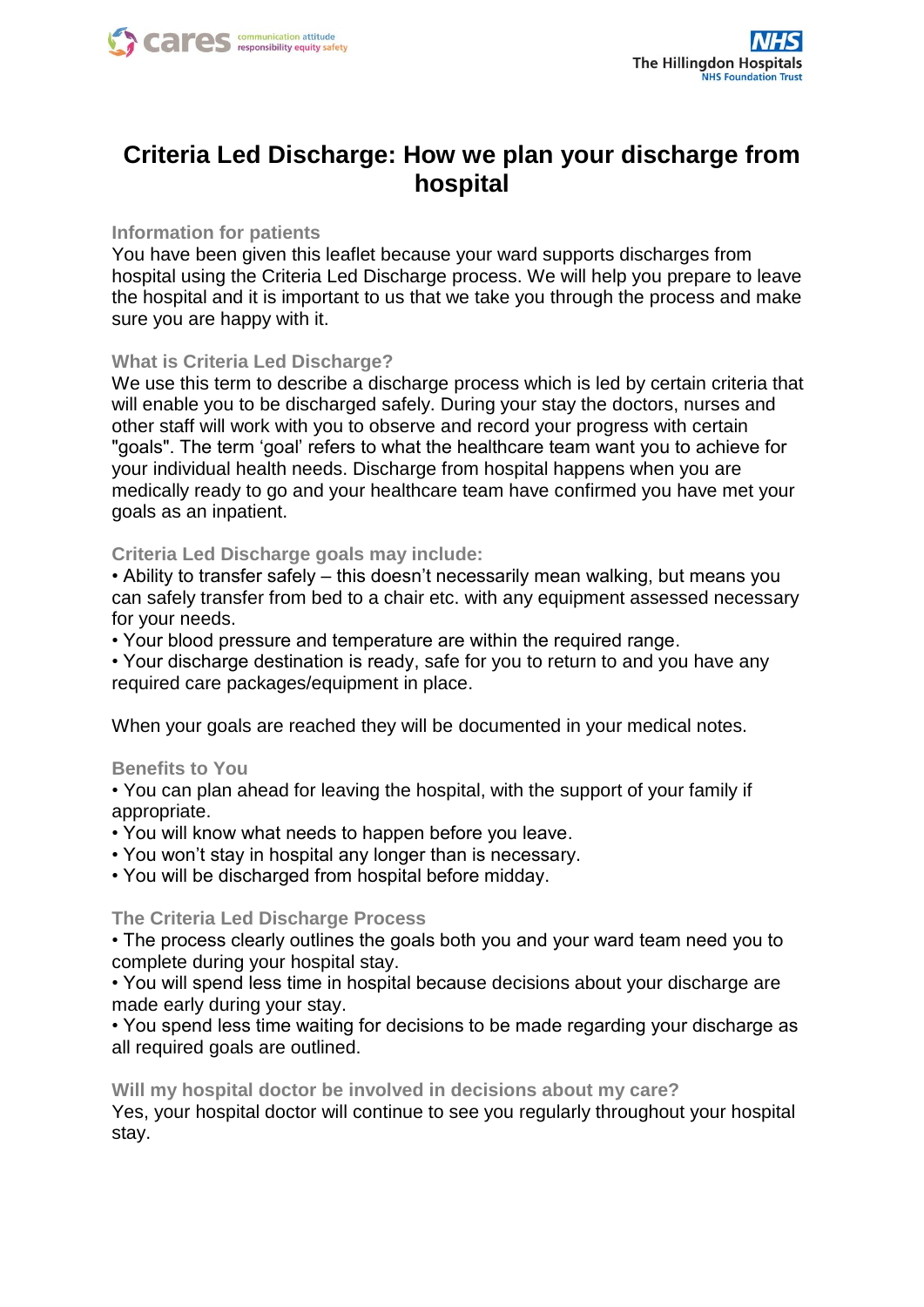

# **Criteria Led Discharge: How we plan your discharge from hospital**

### **Information for patients**

You have been given this leaflet because your ward supports discharges from hospital using the Criteria Led Discharge process. We will help you prepare to leave the hospital and it is important to us that we take you through the process and make sure you are happy with it.

#### **What is Criteria Led Discharge?**

We use this term to describe a discharge process which is led by certain criteria that will enable you to be discharged safely. During your stay the doctors, nurses and other staff will work with you to observe and record your progress with certain "goals". The term 'goal' refers to what the healthcare team want you to achieve for your individual health needs. Discharge from hospital happens when you are medically ready to go and your healthcare team have confirmed you have met your goals as an inpatient.

#### **Criteria Led Discharge goals may include:**

• Ability to transfer safely – this doesn't necessarily mean walking, but means you can safely transfer from bed to a chair etc. with any equipment assessed necessary for your needs.

• Your blood pressure and temperature are within the required range.

• Your discharge destination is ready, safe for you to return to and you have any required care packages/equipment in place.

When your goals are reached they will be documented in your medical notes.

#### **Benefits to You**

• You can plan ahead for leaving the hospital, with the support of your family if appropriate.

• You will know what needs to happen before you leave.

• You won't stay in hospital any longer than is necessary.

• You will be discharged from hospital before midday.

#### **The Criteria Led Discharge Process**

• The process clearly outlines the goals both you and your ward team need you to complete during your hospital stay.

• You will spend less time in hospital because decisions about your discharge are made early during your stay.

• You spend less time waiting for decisions to be made regarding your discharge as all required goals are outlined.

#### **Will my hospital doctor be involved in decisions about my care?**

Yes, your hospital doctor will continue to see you regularly throughout your hospital stay.